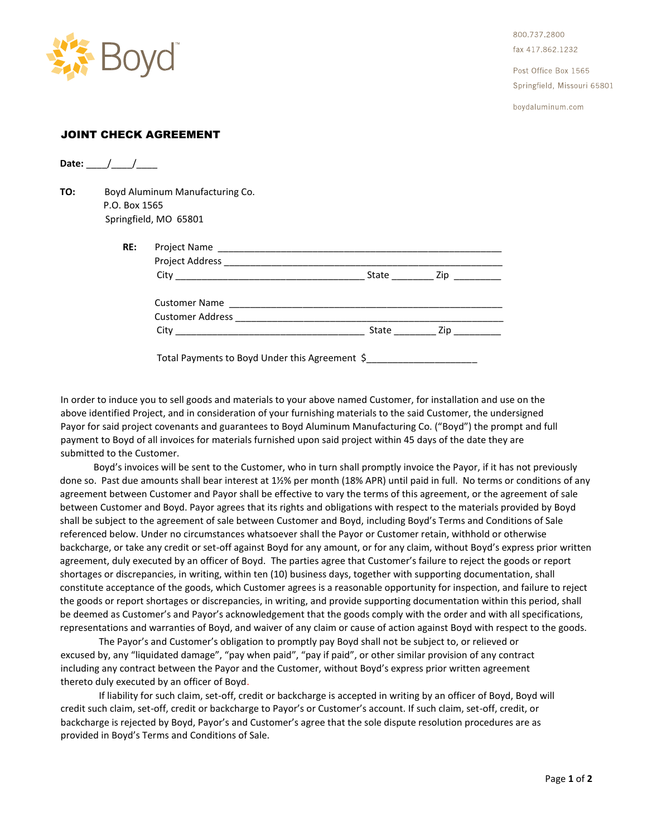

800.737.2800 fax 417,862,1232

Post Office Box 1565 Springfield, Missouri 65801

boydaluminum.com

## JOINT CHECK AGREEMENT

**Date:** / /

**TO:** Boyd Aluminum Manufacturing Co. P.O. Box 1565 Springfield, MO 65801

| State ________________ Zip _____________ |  |
|------------------------------------------|--|

In order to induce you to sell goods and materials to your above named Customer, for installation and use on the above identified Project, and in consideration of your furnishing materials to the said Customer, the undersigned Payor for said project covenants and guarantees to Boyd Aluminum Manufacturing Co. ("Boyd") the prompt and full payment to Boyd of all invoices for materials furnished upon said project within 45 days of the date they are submitted to the Customer.

 Boyd's invoices will be sent to the Customer, who in turn shall promptly invoice the Payor, if it has not previously done so. Past due amounts shall bear interest at 1½% per month (18% APR) until paid in full. No terms or conditions of any agreement between Customer and Payor shall be effective to vary the terms of this agreement, or the agreement of sale between Customer and Boyd. Payor agrees that its rights and obligations with respect to the materials provided by Boyd shall be subject to the agreement of sale between Customer and Boyd, including Boyd's Terms and Conditions of Sale referenced below. Under no circumstances whatsoever shall the Payor or Customer retain, withhold or otherwise backcharge, or take any credit or set-off against Boyd for any amount, or for any claim, without Boyd's express prior written agreement, duly executed by an officer of Boyd. The parties agree that Customer's failure to reject the goods or report shortages or discrepancies, in writing, within ten (10) business days, together with supporting documentation, shall constitute acceptance of the goods, which Customer agrees is a reasonable opportunity for inspection, and failure to reject the goods or report shortages or discrepancies, in writing, and provide supporting documentation within this period, shall be deemed as Customer's and Payor's acknowledgement that the goods comply with the order and with all specifications, representations and warranties of Boyd, and waiver of any claim or cause of action against Boyd with respect to the goods.

The Payor's and Customer's obligation to promptly pay Boyd shall not be subject to, or relieved or excused by, any "liquidated damage", "pay when paid", "pay if paid", or other similar provision of any contract including any contract between the Payor and the Customer, without Boyd's express prior written agreement thereto duly executed by an officer of Boyd.

If liability for such claim, set-off, credit or backcharge is accepted in writing by an officer of Boyd, Boyd will credit such claim, set-off, credit or backcharge to Payor's or Customer's account. If such claim, set-off, credit, or backcharge is rejected by Boyd, Payor's and Customer's agree that the sole dispute resolution procedures are as provided in Boyd's Terms and Conditions of Sale.